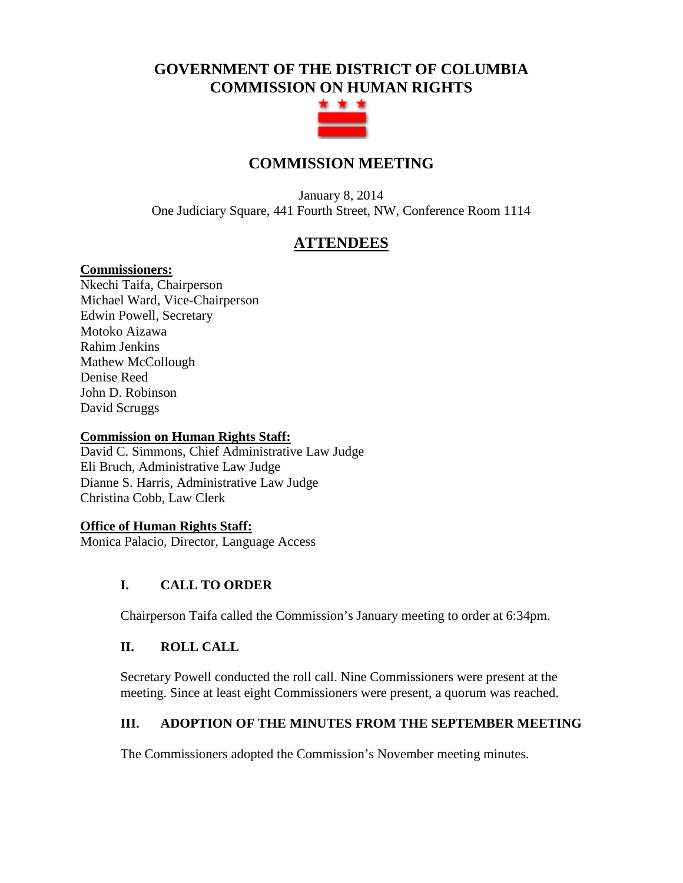# **GOVERNMENT OF THE DISTRICT OF COLUMBIA COMMISSION ON HUMAN RIGHTS**



## **COMMISSION MEETING**

January 8, 2014 One Judiciary Square, 441 Fourth Street, NW, Conference Room 1114

## **ATTENDEES**

#### **Commissioners:**

Nkechi Taifa, Chairperson Michael Ward, Vice-Chairperson Edwin Powell, Secretary Motoko Aizawa Rahim Jenkins Mathew McCollough Denise Reed John D. Robinson David Scruggs

#### **Commission on Human Rights Staff:**

David C. Simmons, Chief Administrative Law Judge Eli Bruch, Administrative Law Judge Dianne S. Harris, Administrative Law Judge Christina Cobb, Law Clerk

#### **Office of Human Rights Staff:**

Monica Palacio, Director, Language Access

#### **I. CALL TO ORDER**

Chairperson Taifa called the Commission's January meeting to order at 6:34pm.

#### **II. ROLL CALL**

Secretary Powell conducted the roll call. Nine Commissioners were present at the meeting. Since at least eight Commissioners were present, a quorum was reached.

### **III. ADOPTION OF THE MINUTES FROM THE SEPTEMBER MEETING**

The Commissioners adopted the Commission's November meeting minutes.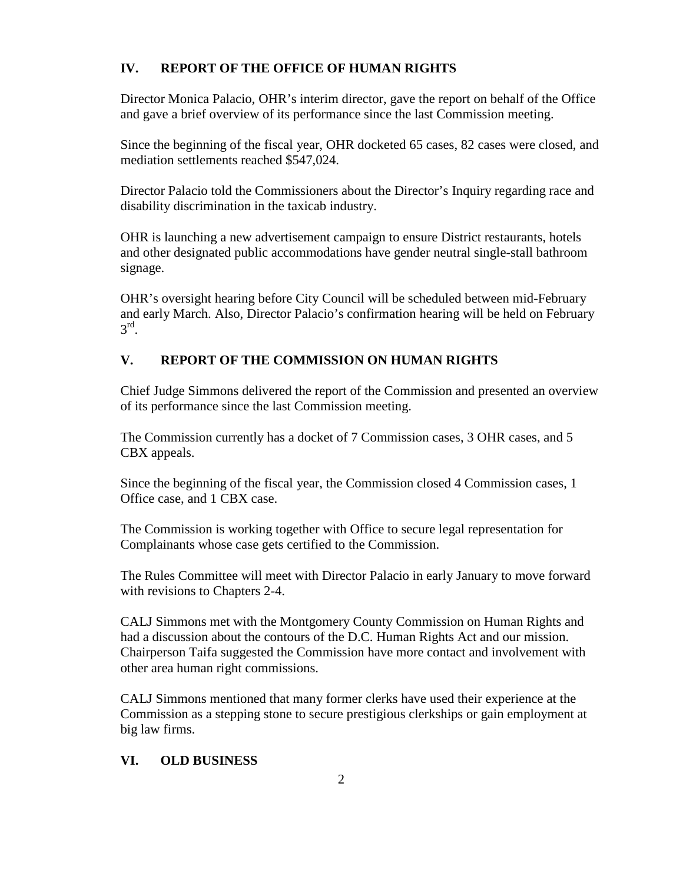#### **IV. REPORT OF THE OFFICE OF HUMAN RIGHTS**

Director Monica Palacio, OHR's interim director, gave the report on behalf of the Office and gave a brief overview of its performance since the last Commission meeting.

Since the beginning of the fiscal year, OHR docketed 65 cases, 82 cases were closed, and mediation settlements reached \$547,024.

Director Palacio told the Commissioners about the Director's Inquiry regarding race and disability discrimination in the taxicab industry.

OHR is launching a new advertisement campaign to ensure District restaurants, hotels and other designated public accommodations have gender neutral single-stall bathroom signage.

OHR's oversight hearing before City Council will be scheduled between mid-February and early March. Also, Director Palacio's confirmation hearing will be held on February  $3<sup>rd</sup>$ .

#### **V. REPORT OF THE COMMISSION ON HUMAN RIGHTS**

Chief Judge Simmons delivered the report of the Commission and presented an overview of its performance since the last Commission meeting.

The Commission currently has a docket of 7 Commission cases, 3 OHR cases, and 5 CBX appeals.

Since the beginning of the fiscal year, the Commission closed 4 Commission cases, 1 Office case, and 1 CBX case.

The Commission is working together with Office to secure legal representation for Complainants whose case gets certified to the Commission.

The Rules Committee will meet with Director Palacio in early January to move forward with revisions to Chapters 2-4.

CALJ Simmons met with the Montgomery County Commission on Human Rights and had a discussion about the contours of the D.C. Human Rights Act and our mission. Chairperson Taifa suggested the Commission have more contact and involvement with other area human right commissions.

CALJ Simmons mentioned that many former clerks have used their experience at the Commission as a stepping stone to secure prestigious clerkships or gain employment at big law firms.

#### **VI. OLD BUSINESS**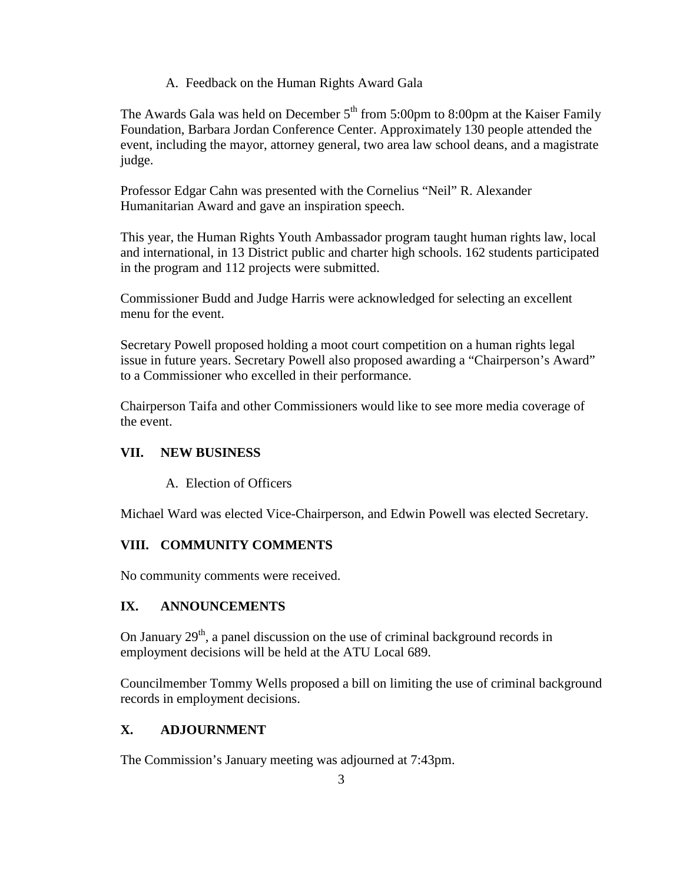A. Feedback on the Human Rights Award Gala

The Awards Gala was held on December  $5<sup>th</sup>$  from 5:00pm to 8:00pm at the Kaiser Family Foundation, Barbara Jordan Conference Center. Approximately 130 people attended the event, including the mayor, attorney general, two area law school deans, and a magistrate judge.

Professor Edgar Cahn was presented with the Cornelius "Neil" R. Alexander Humanitarian Award and gave an inspiration speech.

This year, the Human Rights Youth Ambassador program taught human rights law, local and international, in 13 District public and charter high schools. 162 students participated in the program and 112 projects were submitted.

Commissioner Budd and Judge Harris were acknowledged for selecting an excellent menu for the event.

Secretary Powell proposed holding a moot court competition on a human rights legal issue in future years. Secretary Powell also proposed awarding a "Chairperson's Award" to a Commissioner who excelled in their performance.

Chairperson Taifa and other Commissioners would like to see more media coverage of the event.

### **VII. NEW BUSINESS**

A. Election of Officers

Michael Ward was elected Vice-Chairperson, and Edwin Powell was elected Secretary.

### **VIII. COMMUNITY COMMENTS**

No community comments were received.

### **IX. ANNOUNCEMENTS**

On January  $29<sup>th</sup>$ , a panel discussion on the use of criminal background records in employment decisions will be held at the ATU Local 689.

Councilmember Tommy Wells proposed a bill on limiting the use of criminal background records in employment decisions.

## **X. ADJOURNMENT**

The Commission's January meeting was adjourned at 7:43pm.